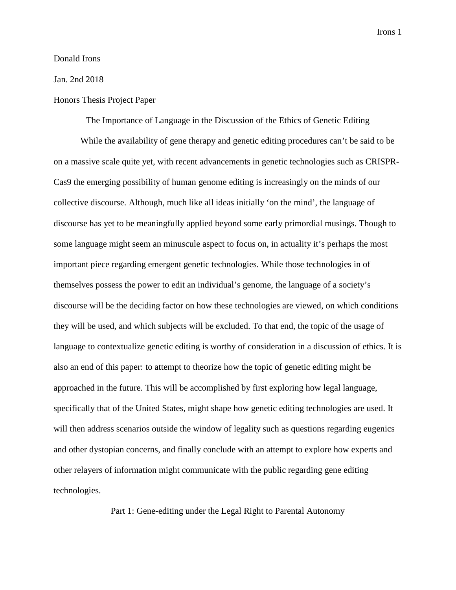### Donald Irons

### Jan. 2nd 2018

# Honors Thesis Project Paper

The Importance of Language in the Discussion of the Ethics of Genetic Editing

While the availability of gene therapy and genetic editing procedures can't be said to be on a massive scale quite yet, with recent advancements in genetic technologies such as CRISPR-Cas9 the emerging possibility of human genome editing is increasingly on the minds of our collective discourse. Although, much like all ideas initially 'on the mind', the language of discourse has yet to be meaningfully applied beyond some early primordial musings. Though to some language might seem an minuscule aspect to focus on, in actuality it's perhaps the most important piece regarding emergent genetic technologies. While those technologies in of themselves possess the power to edit an individual's genome, the language of a society's discourse will be the deciding factor on how these technologies are viewed, on which conditions they will be used, and which subjects will be excluded. To that end, the topic of the usage of language to contextualize genetic editing is worthy of consideration in a discussion of ethics. It is also an end of this paper: to attempt to theorize how the topic of genetic editing might be approached in the future. This will be accomplished by first exploring how legal language, specifically that of the United States, might shape how genetic editing technologies are used. It will then address scenarios outside the window of legality such as questions regarding eugenics and other dystopian concerns, and finally conclude with an attempt to explore how experts and other relayers of information might communicate with the public regarding gene editing technologies.

Part 1: Gene-editing under the Legal Right to Parental Autonomy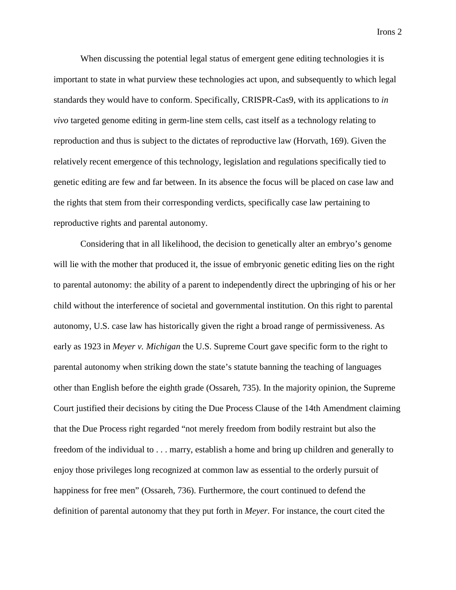When discussing the potential legal status of emergent gene editing technologies it is important to state in what purview these technologies act upon, and subsequently to which legal standards they would have to conform. Specifically, CRISPR-Cas9, with its applications to *in vivo* targeted genome editing in germ-line stem cells, cast itself as a technology relating to reproduction and thus is subject to the dictates of reproductive law (Horvath, 169). Given the relatively recent emergence of this technology, legislation and regulations specifically tied to genetic editing are few and far between. In its absence the focus will be placed on case law and the rights that stem from their corresponding verdicts, specifically case law pertaining to reproductive rights and parental autonomy.

Considering that in all likelihood, the decision to genetically alter an embryo's genome will lie with the mother that produced it, the issue of embryonic genetic editing lies on the right to parental autonomy: the ability of a parent to independently direct the upbringing of his or her child without the interference of societal and governmental institution. On this right to parental autonomy, U.S. case law has historically given the right a broad range of permissiveness. As early as 1923 in *Meyer v. Michigan* the U.S. Supreme Court gave specific form to the right to parental autonomy when striking down the state's statute banning the teaching of languages other than English before the eighth grade (Ossareh, 735). In the majority opinion, the Supreme Court justified their decisions by citing the Due Process Clause of the 14th Amendment claiming that the Due Process right regarded "not merely freedom from bodily restraint but also the freedom of the individual to . . . marry, establish a home and bring up children and generally to enjoy those privileges long recognized at common law as essential to the orderly pursuit of happiness for free men" (Ossareh, 736). Furthermore, the court continued to defend the definition of parental autonomy that they put forth in *Meyer*. For instance, the court cited the

Irons 2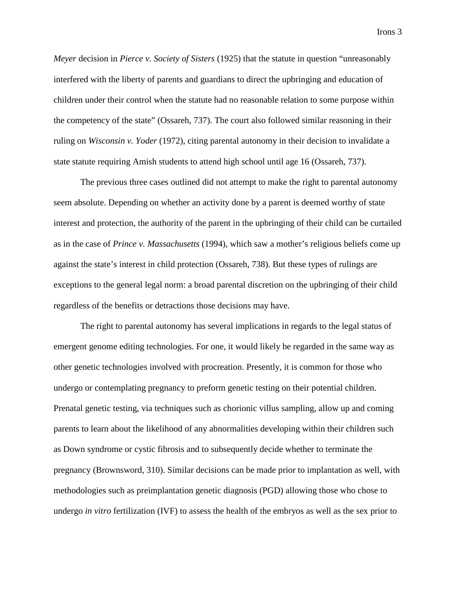*Meyer* decision in *Pierce v. Society of Sisters* (1925) that the statute in question "unreasonably interfered with the liberty of parents and guardians to direct the upbringing and education of children under their control when the statute had no reasonable relation to some purpose within the competency of the state" (Ossareh, 737). The court also followed similar reasoning in their ruling on *Wisconsin v. Yoder* (1972), citing parental autonomy in their decision to invalidate a state statute requiring Amish students to attend high school until age 16 (Ossareh, 737).

The previous three cases outlined did not attempt to make the right to parental autonomy seem absolute. Depending on whether an activity done by a parent is deemed worthy of state interest and protection, the authority of the parent in the upbringing of their child can be curtailed as in the case of *Prince v. Massachusetts* (1994), which saw a mother's religious beliefs come up against the state's interest in child protection (Ossareh, 738). But these types of rulings are exceptions to the general legal norm: a broad parental discretion on the upbringing of their child regardless of the benefits or detractions those decisions may have.

The right to parental autonomy has several implications in regards to the legal status of emergent genome editing technologies. For one, it would likely be regarded in the same way as other genetic technologies involved with procreation. Presently, it is common for those who undergo or contemplating pregnancy to preform genetic testing on their potential children. Prenatal genetic testing, via techniques such as chorionic villus sampling, allow up and coming parents to learn about the likelihood of any abnormalities developing within their children such as Down syndrome or cystic fibrosis and to subsequently decide whether to terminate the pregnancy (Brownsword, 310). Similar decisions can be made prior to implantation as well, with methodologies such as preimplantation genetic diagnosis (PGD) allowing those who chose to undergo *in vitro* fertilization (IVF) to assess the health of the embryos as well as the sex prior to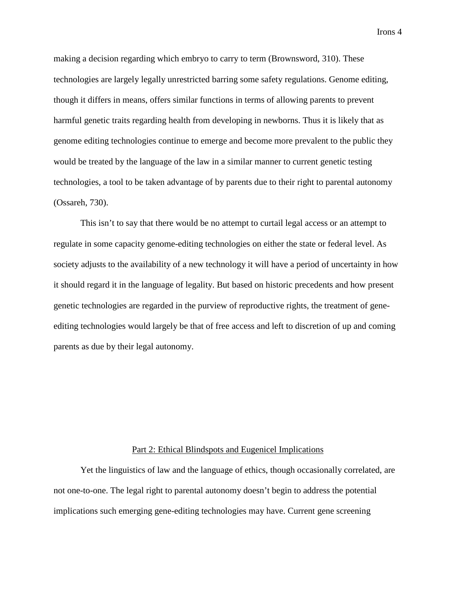making a decision regarding which embryo to carry to term (Brownsword, 310). These technologies are largely legally unrestricted barring some safety regulations. Genome editing, though it differs in means, offers similar functions in terms of allowing parents to prevent harmful genetic traits regarding health from developing in newborns. Thus it is likely that as genome editing technologies continue to emerge and become more prevalent to the public they would be treated by the language of the law in a similar manner to current genetic testing technologies, a tool to be taken advantage of by parents due to their right to parental autonomy (Ossareh, 730).

This isn't to say that there would be no attempt to curtail legal access or an attempt to regulate in some capacity genome-editing technologies on either the state or federal level. As society adjusts to the availability of a new technology it will have a period of uncertainty in how it should regard it in the language of legality. But based on historic precedents and how present genetic technologies are regarded in the purview of reproductive rights, the treatment of geneediting technologies would largely be that of free access and left to discretion of up and coming parents as due by their legal autonomy.

# Part 2: Ethical Blindspots and Eugenicel Implications

Yet the linguistics of law and the language of ethics, though occasionally correlated, are not one-to-one. The legal right to parental autonomy doesn't begin to address the potential implications such emerging gene-editing technologies may have. Current gene screening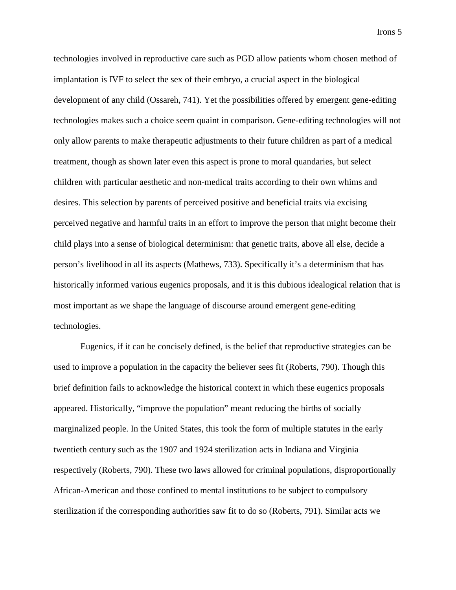technologies involved in reproductive care such as PGD allow patients whom chosen method of implantation is IVF to select the sex of their embryo, a crucial aspect in the biological development of any child (Ossareh, 741). Yet the possibilities offered by emergent gene-editing technologies makes such a choice seem quaint in comparison. Gene-editing technologies will not only allow parents to make therapeutic adjustments to their future children as part of a medical treatment, though as shown later even this aspect is prone to moral quandaries, but select children with particular aesthetic and non-medical traits according to their own whims and desires. This selection by parents of perceived positive and beneficial traits via excising perceived negative and harmful traits in an effort to improve the person that might become their child plays into a sense of biological determinism: that genetic traits, above all else, decide a person's livelihood in all its aspects (Mathews, 733). Specifically it's a determinism that has historically informed various eugenics proposals, and it is this dubious idealogical relation that is most important as we shape the language of discourse around emergent gene-editing technologies.

Eugenics, if it can be concisely defined, is the belief that reproductive strategies can be used to improve a population in the capacity the believer sees fit (Roberts, 790). Though this brief definition fails to acknowledge the historical context in which these eugenics proposals appeared. Historically, "improve the population" meant reducing the births of socially marginalized people. In the United States, this took the form of multiple statutes in the early twentieth century such as the 1907 and 1924 sterilization acts in Indiana and Virginia respectively (Roberts, 790). These two laws allowed for criminal populations, disproportionally African-American and those confined to mental institutions to be subject to compulsory sterilization if the corresponding authorities saw fit to do so (Roberts, 791). Similar acts we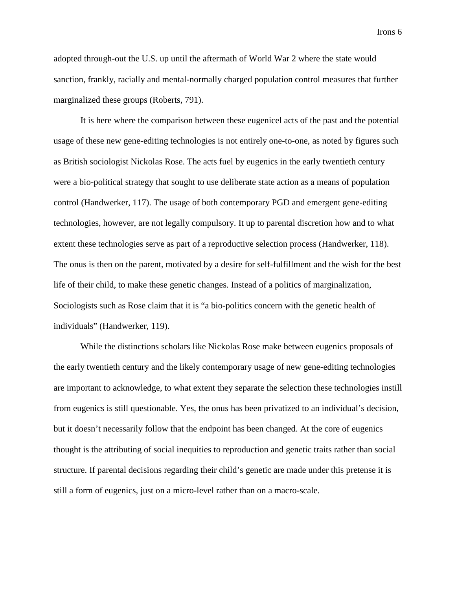adopted through-out the U.S. up until the aftermath of World War 2 where the state would sanction, frankly, racially and mental-normally charged population control measures that further marginalized these groups (Roberts, 791).

It is here where the comparison between these eugenicel acts of the past and the potential usage of these new gene-editing technologies is not entirely one-to-one, as noted by figures such as British sociologist Nickolas Rose. The acts fuel by eugenics in the early twentieth century were a bio-political strategy that sought to use deliberate state action as a means of population control (Handwerker, 117). The usage of both contemporary PGD and emergent gene-editing technologies, however, are not legally compulsory. It up to parental discretion how and to what extent these technologies serve as part of a reproductive selection process (Handwerker, 118). The onus is then on the parent, motivated by a desire for self-fulfillment and the wish for the best life of their child, to make these genetic changes. Instead of a politics of marginalization, Sociologists such as Rose claim that it is "a bio-politics concern with the genetic health of individuals" (Handwerker, 119).

While the distinctions scholars like Nickolas Rose make between eugenics proposals of the early twentieth century and the likely contemporary usage of new gene-editing technologies are important to acknowledge, to what extent they separate the selection these technologies instill from eugenics is still questionable. Yes, the onus has been privatized to an individual's decision, but it doesn't necessarily follow that the endpoint has been changed. At the core of eugenics thought is the attributing of social inequities to reproduction and genetic traits rather than social structure. If parental decisions regarding their child's genetic are made under this pretense it is still a form of eugenics, just on a micro-level rather than on a macro-scale.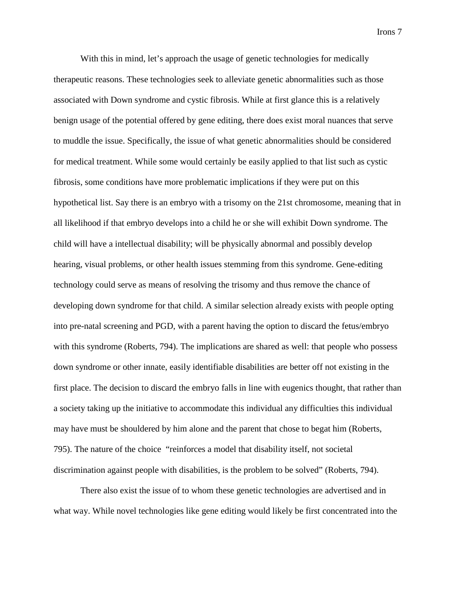With this in mind, let's approach the usage of genetic technologies for medically therapeutic reasons. These technologies seek to alleviate genetic abnormalities such as those associated with Down syndrome and cystic fibrosis. While at first glance this is a relatively benign usage of the potential offered by gene editing, there does exist moral nuances that serve to muddle the issue. Specifically, the issue of what genetic abnormalities should be considered for medical treatment. While some would certainly be easily applied to that list such as cystic fibrosis, some conditions have more problematic implications if they were put on this hypothetical list. Say there is an embryo with a trisomy on the 21st chromosome, meaning that in all likelihood if that embryo develops into a child he or she will exhibit Down syndrome. The child will have a intellectual disability; will be physically abnormal and possibly develop hearing, visual problems, or other health issues stemming from this syndrome. Gene-editing technology could serve as means of resolving the trisomy and thus remove the chance of developing down syndrome for that child. A similar selection already exists with people opting into pre-natal screening and PGD, with a parent having the option to discard the fetus/embryo with this syndrome (Roberts, 794). The implications are shared as well: that people who possess down syndrome or other innate, easily identifiable disabilities are better off not existing in the first place. The decision to discard the embryo falls in line with eugenics thought, that rather than a society taking up the initiative to accommodate this individual any difficulties this individual may have must be shouldered by him alone and the parent that chose to begat him (Roberts, 795). The nature of the choice "reinforces a model that disability itself, not societal discrimination against people with disabilities, is the problem to be solved" (Roberts, 794).

There also exist the issue of to whom these genetic technologies are advertised and in what way. While novel technologies like gene editing would likely be first concentrated into the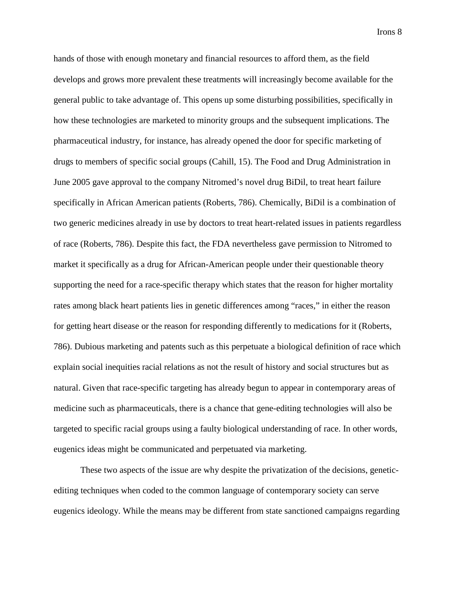hands of those with enough monetary and financial resources to afford them, as the field develops and grows more prevalent these treatments will increasingly become available for the general public to take advantage of. This opens up some disturbing possibilities, specifically in how these technologies are marketed to minority groups and the subsequent implications. The pharmaceutical industry, for instance, has already opened the door for specific marketing of drugs to members of specific social groups (Cahill, 15). The Food and Drug Administration in June 2005 gave approval to the company Nitromed's novel drug BiDil, to treat heart failure specifically in African American patients (Roberts, 786). Chemically, BiDil is a combination of two generic medicines already in use by doctors to treat heart-related issues in patients regardless of race (Roberts, 786). Despite this fact, the FDA nevertheless gave permission to Nitromed to market it specifically as a drug for African-American people under their questionable theory supporting the need for a race-specific therapy which states that the reason for higher mortality rates among black heart patients lies in genetic differences among "races," in either the reason for getting heart disease or the reason for responding differently to medications for it (Roberts, 786). Dubious marketing and patents such as this perpetuate a biological definition of race which explain social inequities racial relations as not the result of history and social structures but as natural. Given that race-specific targeting has already begun to appear in contemporary areas of medicine such as pharmaceuticals, there is a chance that gene-editing technologies will also be targeted to specific racial groups using a faulty biological understanding of race. In other words, eugenics ideas might be communicated and perpetuated via marketing.

These two aspects of the issue are why despite the privatization of the decisions, geneticediting techniques when coded to the common language of contemporary society can serve eugenics ideology. While the means may be different from state sanctioned campaigns regarding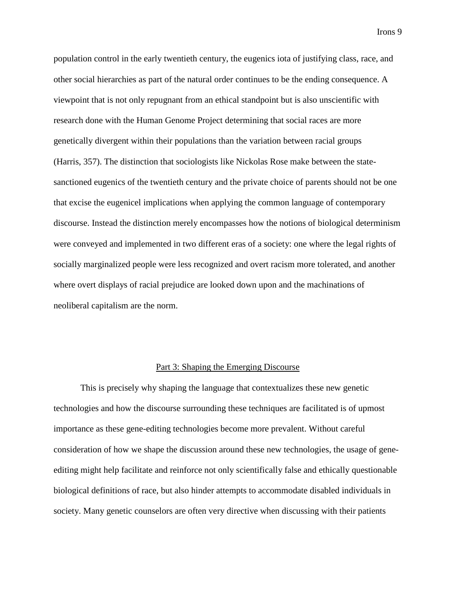population control in the early twentieth century, the eugenics iota of justifying class, race, and other social hierarchies as part of the natural order continues to be the ending consequence. A viewpoint that is not only repugnant from an ethical standpoint but is also unscientific with research done with the Human Genome Project determining that social races are more genetically divergent within their populations than the variation between racial groups (Harris, 357). The distinction that sociologists like Nickolas Rose make between the statesanctioned eugenics of the twentieth century and the private choice of parents should not be one that excise the eugenicel implications when applying the common language of contemporary discourse. Instead the distinction merely encompasses how the notions of biological determinism were conveyed and implemented in two different eras of a society: one where the legal rights of socially marginalized people were less recognized and overt racism more tolerated, and another where overt displays of racial prejudice are looked down upon and the machinations of neoliberal capitalism are the norm.

### Part 3: Shaping the Emerging Discourse

This is precisely why shaping the language that contextualizes these new genetic technologies and how the discourse surrounding these techniques are facilitated is of upmost importance as these gene-editing technologies become more prevalent. Without careful consideration of how we shape the discussion around these new technologies, the usage of geneediting might help facilitate and reinforce not only scientifically false and ethically questionable biological definitions of race, but also hinder attempts to accommodate disabled individuals in society. Many genetic counselors are often very directive when discussing with their patients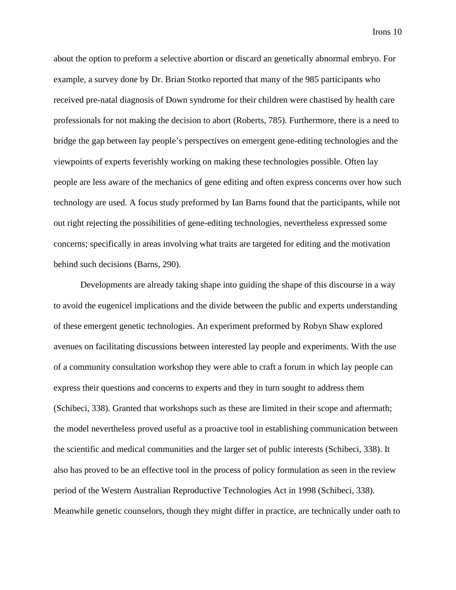about the option to preform a selective abortion or discard an genetically abnormal embryo. For example, a survey done by Dr. Brian Stotko reported that many of the 985 participants who received pre-natal diagnosis of Down syndrome for their children were chastised by health care professionals for not making the decision to abort (Roberts, 785). Furthermore, there is a need to bridge the gap between lay people's perspectives on emergent gene-editing technologies and the viewpoints of experts feverishly working on making these technologies possible. Often lay people are less aware of the mechanics of gene editing and often express concerns over how such technology are used. A focus study preformed by Ian Barns found that the participants, while not out right rejecting the possibilities of gene-editing technologies, nevertheless expressed some concerns; specifically in areas involving what traits are targeted for editing and the motivation behind such decisions (Barns, 290).

Developments are already taking shape into guiding the shape of this discourse in a way to avoid the eugenicel implications and the divide between the public and experts understanding of these emergent genetic technologies. An experiment preformed by Robyn Shaw explored avenues on facilitating discussions between interested lay people and experiments. With the use of a community consultation workshop they were able to craft a forum in which lay people can express their questions and concerns to experts and they in turn sought to address them (Schibeci, 338). Granted that workshops such as these are limited in their scope and aftermath; the model nevertheless proved useful as a proactive tool in establishing communication between the scientific and medical communities and the larger set of public interests (Schibeci, 338). It also has proved to be an effective tool in the process of policy formulation as seen in the review period of the Western Australian Reproductive Technologies Act in 1998 (Schibeci, 338). Meanwhile genetic counselors, though they might differ in practice, are technically under oath to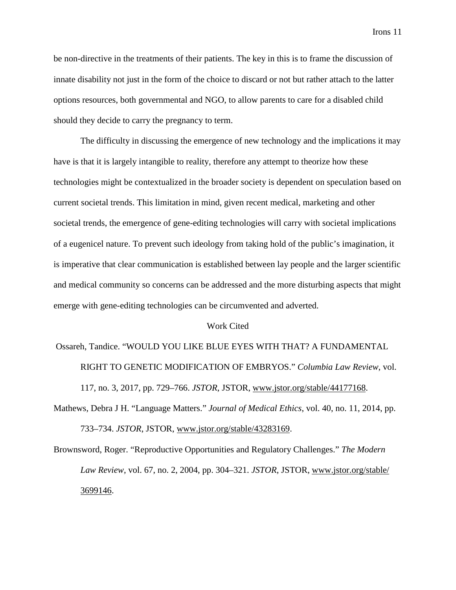be non-directive in the treatments of their patients. The key in this is to frame the discussion of innate disability not just in the form of the choice to discard or not but rather attach to the latter options resources, both governmental and NGO, to allow parents to care for a disabled child should they decide to carry the pregnancy to term.

The difficulty in discussing the emergence of new technology and the implications it may have is that it is largely intangible to reality, therefore any attempt to theorize how these technologies might be contextualized in the broader society is dependent on speculation based on current societal trends. This limitation in mind, given recent medical, marketing and other societal trends, the emergence of gene-editing technologies will carry with societal implications of a eugenicel nature. To prevent such ideology from taking hold of the public's imagination, it is imperative that clear communication is established between lay people and the larger scientific and medical community so concerns can be addressed and the more disturbing aspects that might emerge with gene-editing technologies can be circumvented and adverted.

#### Work Cited

Ossareh, Tandice. "WOULD YOU LIKE BLUE EYES WITH THAT? A FUNDAMENTAL RIGHT TO GENETIC MODIFICATION OF EMBRYOS." *Columbia Law Review*, vol. 117, no. 3, 2017, pp. 729–766. *JSTOR*, JSTOR, [www.jstor.org/stable/44177168.](http://www.jstor.org/stable/44177168)

Mathews, Debra J H. "Language Matters." *Journal of Medical Ethics*, vol. 40, no. 11, 2014, pp. 733–734. *JSTOR*, JSTOR, [www.jstor.org/stable/43283169.](http://www.jstor.org/stable/43283169)

Brownsword, Roger. "Reproductive Opportunities and Regulatory Challenges." *The Modern Law Review*, vol. 67, no. 2, 2004, pp. 304–321. *JSTOR*, JSTOR, [www.jstor.org/stable/](http://www.jstor.org/stable/) 3699146.